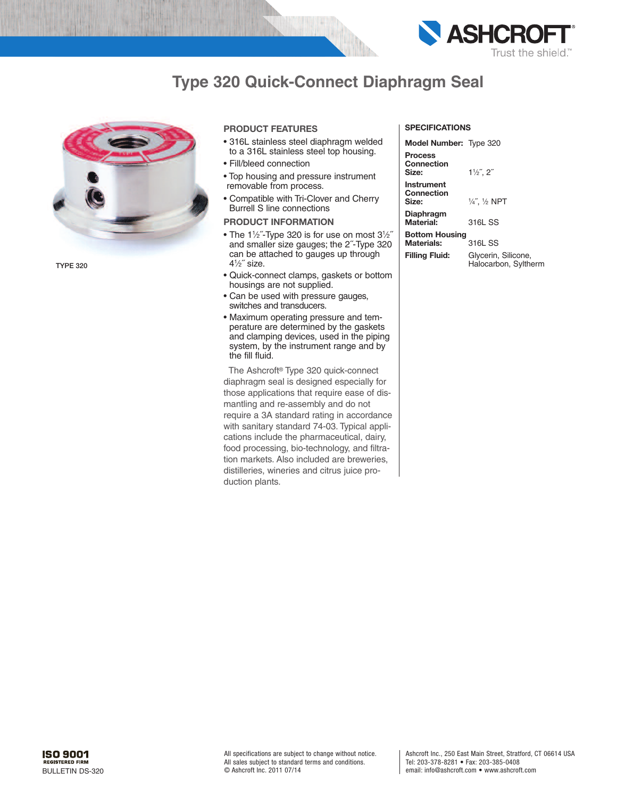

## **Type 320 Quick-Connect Diaphragm Seal**



**TYPE 320**

### **PRODUCT FEATURES**

- 316L stainless steel diaphragm welded to a 316L stainless steel top housing.
- Fill/bleed connection
- Top housing and pressure instrument removable from process.
- Compatible with Tri-Clover and Cherry Burrell S line connections

## **PRODUCT INFORMATION**

- $\bullet$  The 1½"-Type 320 is for use on most 3½" and smaller size gauges; the 2˝-Type 320 can be attached to gauges up through 41 ⁄2˝ size.
- Quick-connect clamps, gaskets or bottom housings are not supplied.
- Can be used with pressure gauges, switches and transducers.
- Maximum operating pressure and temperature are determined by the gaskets and clamping devices, used in the piping system, by the instrument range and by the fill fluid.

The Ashcroft ® Type 320 quick-connect diaphragm seal is designed especially for those applications that require ease of dismantling and re-assembly and do not require a 3A standard rating in accordance with sanitary standard 74-03. Typical applications include the pharmaceutical, dairy, food processing, bio-technology, and filtration markets. Also included are breweries, distilleries, wineries and citrus juice production plants.

### **SPECIFICATIONS**

**Model Number:** Type 320

**Process Connection** Size: **Instrument**

Size:

⁄2˝, 2˝

**Connection** ⁄4˝, <sup>1</sup> ⁄2 NPT

**Diaphragm Material:** 316L SS

**Bottom Housing Materials:** 316L SS

**Filling Fluid:** Glycerin, Silicone, Halocarbon, Syltherm